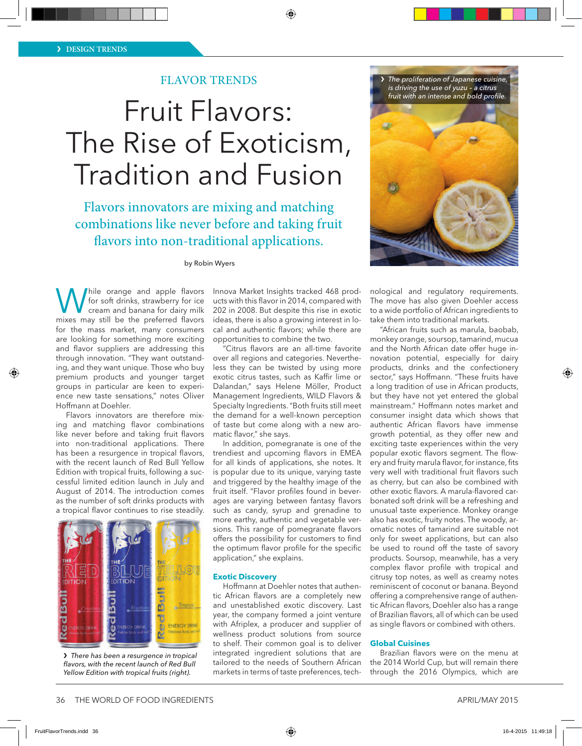## FLAVOR TRENDS

# Fruit Flavors: The Rise of Exoticism, Tradition and Fusion

Flavors innovators are mixing and matching combinations like never before and taking fruit flavors into non-traditional applications.

by Robin Wyers

While orange and apple flavors<br>
for soft drinks, strawberry for ice<br>
cream and banana for dairy milk<br>
mixes may still be the preferred flavors for soft drinks, strawberry for ice mixes may still be the preferred flavors for the mass market, many consumers are looking for something more exciting and flavor suppliers are addressing this through innovation. "They want outstanding, and they want unique. Those who buy premium products and younger target groups in particular are keen to experience new taste sensations," notes Oliver Hoffmann at Doehler.

Flavors innovators are therefore mixing and matching flavor combinations like never before and taking fruit flavors into non-traditional applications. There has been a resurgence in tropical flavors, with the recent launch of Red Bull Yellow Edition with tropical fruits, following a successful limited edition launch in July and August of 2014. The introduction comes as the number of soft drinks products with a tropical flavor continues to rise steadily.



❯ *There has been a resurgence in tropical flavors, with the recent launch of Red Bull Yellow Edition with tropical fruits (right).*

Innova Market Insights tracked 468 products with this flavor in 2014, compared with 202 in 2008. But despite this rise in exotic ideas, there is also a growing interest in local and authentic flavors; while there are opportunities to combine the two.

.<br>"Citrus flavors are an all-time favorite over all regions and categories. Nevertheless they can be twisted by using more exotic citrus tastes, such as Kaffir lime or Dalandan," says Helene Möller, Product Management Ingredients, WILD Flavors & Specialty Ingredients. "Both fruits still meet the demand for a well-known perception of taste but come along with a new aromatic flavor," she says.

In addition, pomegranate is one of the trendiest and upcoming flavors in EMEA for all kinds of applications, she notes. It is popular due to its unique, varying taste and triggered by the healthy image of the fruit itself. "Flavor profiles found in beverages are varying between fantasy flavors such as candy, syrup and grenadine to more earthy, authentic and vegetable versions. This range of pomegranate flavors offers the possibility for customers to find the optimum flavor profile for the specific application," she explains.

#### **Exotic Discovery**

Hoffmann at Doehler notes that authentic African flavors are a completely new and unestablished exotic discovery. Last year, the company formed a joint venture with Afriplex, a producer and supplier of wellness product solutions from source to shelf. Their common goal is to deliver integrated ingredient solutions that are tailored to the needs of Southern African markets in terms of taste preferences, tech-

❯ *The proliferation of Japanese cuisine, is driving the use of yuzu – a citrus fruit with an intense and bold profile.* 



nological and regulatory requirements. The move has also given Doehler access to a wide portfolio of African ingredients to take them into traditional markets.

"African fruits such as marula, baobab, monkey orange, soursop, tamarind, mucua and the North African date offer huge innovation potential, especially for dairy products, drinks and the confectionery sector," says Hoffmann. "These fruits have a long tradition of use in African products, but they have not yet entered the global mainstream." Hoffmann notes market and consumer insight data which shows that authentic African flavors have immense growth potential, as they offer new and exciting taste experiences within the very popular exotic flavors segment. The flowery and fruity marula flavor, for instance, fits very well with traditional fruit flavors such as cherry, but can also be combined with other exotic flavors. A marula-flavored carbonated soft drink will be a refreshing and unusual taste experience. Monkey orange also has exotic, fruity notes. The woody, aromatic notes of tamarind are suitable not only for sweet applications, but can also be used to round off the taste of savory products. Soursop, meanwhile, has a very complex flavor profile with tropical and citrusy top notes, as well as creamy notes reminiscent of coconut or banana. Beyond offering a comprehensive range of authentic African flavors, Doehler also has a range of Brazilian flavors, all of which can be used as single flavors or combined with others.

#### **Global Cuisines**

Brazilian flavors were on the menu at the 2014 World Cup, but will remain there through the 2016 Olympics, which are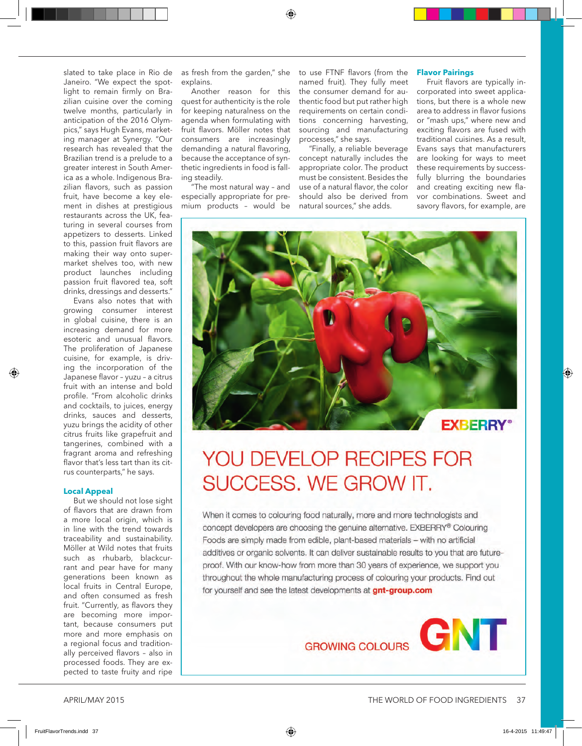slated to take place in Rio de Janeiro. "We expect the spotlight to remain firmly on Brazilian cuisine over the coming twelve months, particularly in anticipation of the 2016 Olympics," says Hugh Evans, marketing manager at Synergy. "Our research has revealed that the Brazilian trend is a prelude to a greater interest in South America as a whole. Indigenous Brazilian flavors, such as passion fruit, have become a key element in dishes at prestigious restaurants across the UK, featuring in several courses from appetizers to desserts. Linked to this, passion fruit flavors are making their way onto supermarket shelves too, with new product launches including passion fruit flavored tea, soft drinks, dressings and desserts."

Evans also notes that with growing consumer interest in global cuisine, there is an increasing demand for more esoteric and unusual flavors. The proliferation of Japanese cuisine, for example, is driving the incorporation of the Japanese flavor – yuzu – a citrus fruit with an intense and bold profile. "From alcoholic drinks and cocktails, to juices, energy drinks, sauces and desserts, yuzu brings the acidity of other citrus fruits like grapefruit and tangerines, combined with a fragrant aroma and refreshing flavor that's less tart than its citrus counterparts," he says.

#### **Local Appeal**

But we should not lose sight of flavors that are drawn from a more local origin, which is in line with the trend towards traceability and sustainability. Möller at Wild notes that fruits such as rhubarb, blackcurrant and pear have for many generations been known as local fruits in Central Europe, and often consumed as fresh fruit. "Currently, as flavors they are becoming more important, because consumers put more and more emphasis on a regional focus and traditionally perceived flavors – also in processed foods. They are expected to taste fruity and ripe

as fresh from the garden," she explains.

Another reason for this quest for authenticity is the role for keeping naturalness on the agenda when formulating with fruit flavors. Möller notes that consumers are increasingly demanding a natural flavoring, because the acceptance of synthetic ingredients in food is falling steadily.

"The most natural way – and especially appropriate for premium products – would be to use FTNF flavors (from the named fruit). They fully meet the consumer demand for authentic food but put rather high requirements on certain conditions concerning harvesting, sourcing and manufacturing processes," she says.

"Finally, a reliable beverage concept naturally includes the appropriate color. The product must be consistent. Besides the use of a natural flavor, the color should also be derived from natural sources," she adds.

#### **Flavor Pairings**

Fruit flavors are typically incorporated into sweet applications, but there is a whole new area to address in flavor fusions or "mash ups," where new and exciting flavors are fused with traditional cuisines. As a result, Evans says that manufacturers are looking for ways to meet these requirements by successfully blurring the boundaries and creating exciting new flavor combinations. Sweet and savory flavors, for example, are



# YOU DEVELOP RECIPES FOR SUCCESS. WE GROW IT.

When it comes to colouring food naturally, more and more technologists and concept developers are choosing the genuine alternative. EXBERRY® Colouring Foods are simply made from edible, plant-based materials - with no artificial additives or organic solvents. It can deliver sustainable results to you that are futureproof. With our know-how from more than 30 years of experience, we support you throughout the whole manufacturing process of colouring your products. Find out for yourself and see the latest developments at gnt-group.com